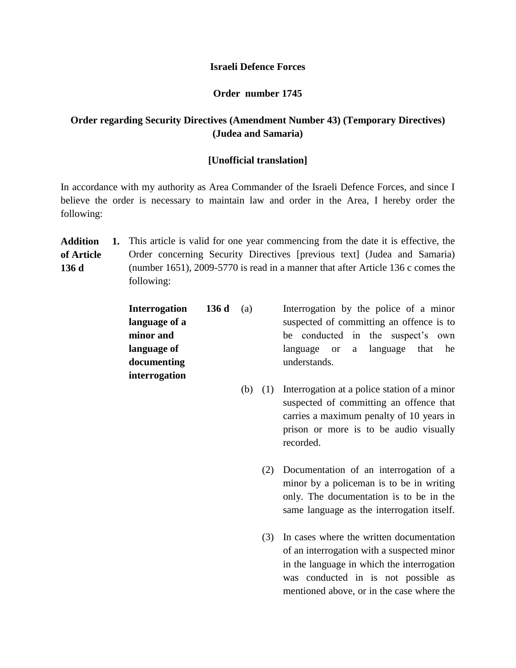## **Israeli Defence Forces**

## **Order number 1745**

## **Order regarding Security Directives (Amendment Number 43) (Temporary Directives) (Judea and Samaria)**

## **[Unofficial translation]**

In accordance with my authority as Area Commander of the Israeli Defence Forces, and since I believe the order is necessary to maintain law and order in the Area, I hereby order the following:

**Addition of Article 136 d 1.** This article is valid for one year commencing from the date it is effective, the Order concerning Security Directives [previous text] (Judea and Samaria) (number 1651), 2009-5770 is read in a manner that after Article 136 c comes the following:

| <b>Interrogation</b> | 136d | (a) | Interrogation by the police of a minor   |  |  |  |  |  |  |  |
|----------------------|------|-----|------------------------------------------|--|--|--|--|--|--|--|
| language of a        |      |     | suspected of committing an offence is to |  |  |  |  |  |  |  |
| minor and            |      |     | be conducted in the suspect's own        |  |  |  |  |  |  |  |
| language of          |      |     | language or a language that he           |  |  |  |  |  |  |  |
| documenting          |      |     | understands.                             |  |  |  |  |  |  |  |
| interrogation        |      |     |                                          |  |  |  |  |  |  |  |

- (b) (1) Interrogation at a police station of a minor suspected of committing an offence that carries a maximum penalty of 10 years in prison or more is to be audio visually recorded.
	- (2) Documentation of an interrogation of a minor by a policeman is to be in writing only. The documentation is to be in the same language as the interrogation itself.
	- (3) In cases where the written documentation of an interrogation with a suspected minor in the language in which the interrogation was conducted in is not possible as mentioned above, or in the case where the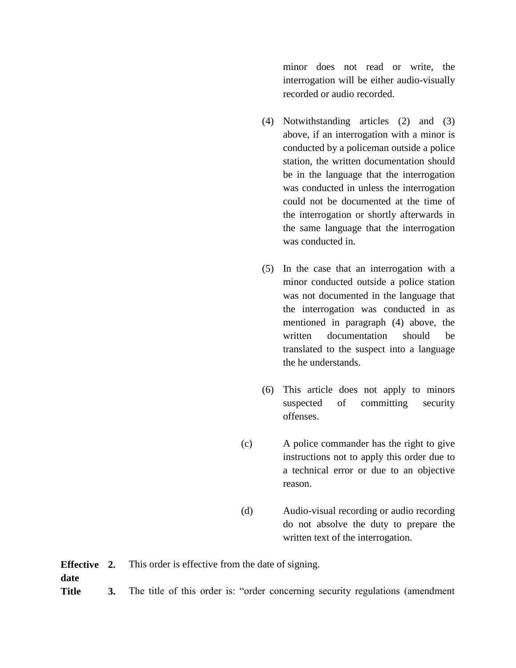minor does not read or write, the interrogation will be either audio-visually recorded or audio recorded.

- (4) Notwithstanding articles (2) and (3) above, if an interrogation with a minor is conducted by a policeman outside a police station, the written documentation should be in the language that the interrogation was conducted in unless the interrogation could not be documented at the time of the interrogation or shortly afterwards in the same language that the interrogation was conducted in.
- (5) In the case that an interrogation with a minor conducted outside a police station was not documented in the language that the interrogation was conducted in as mentioned in paragraph (4) above, the written documentation should be translated to the suspect into a language the he understands.
- (6) This article does not apply to minors suspected of committing security offenses.
- (c) A police commander has the right to give instructions not to apply this order due to a technical error or due to an objective reason.
- (d) Audio-visual recording or audio recording do not absolve the duty to prepare the written text of the interrogation.

**Effective date 2.** This order is effective from the date of signing. **Title 3.** The title of this order is: "order concerning security regulations (amendment